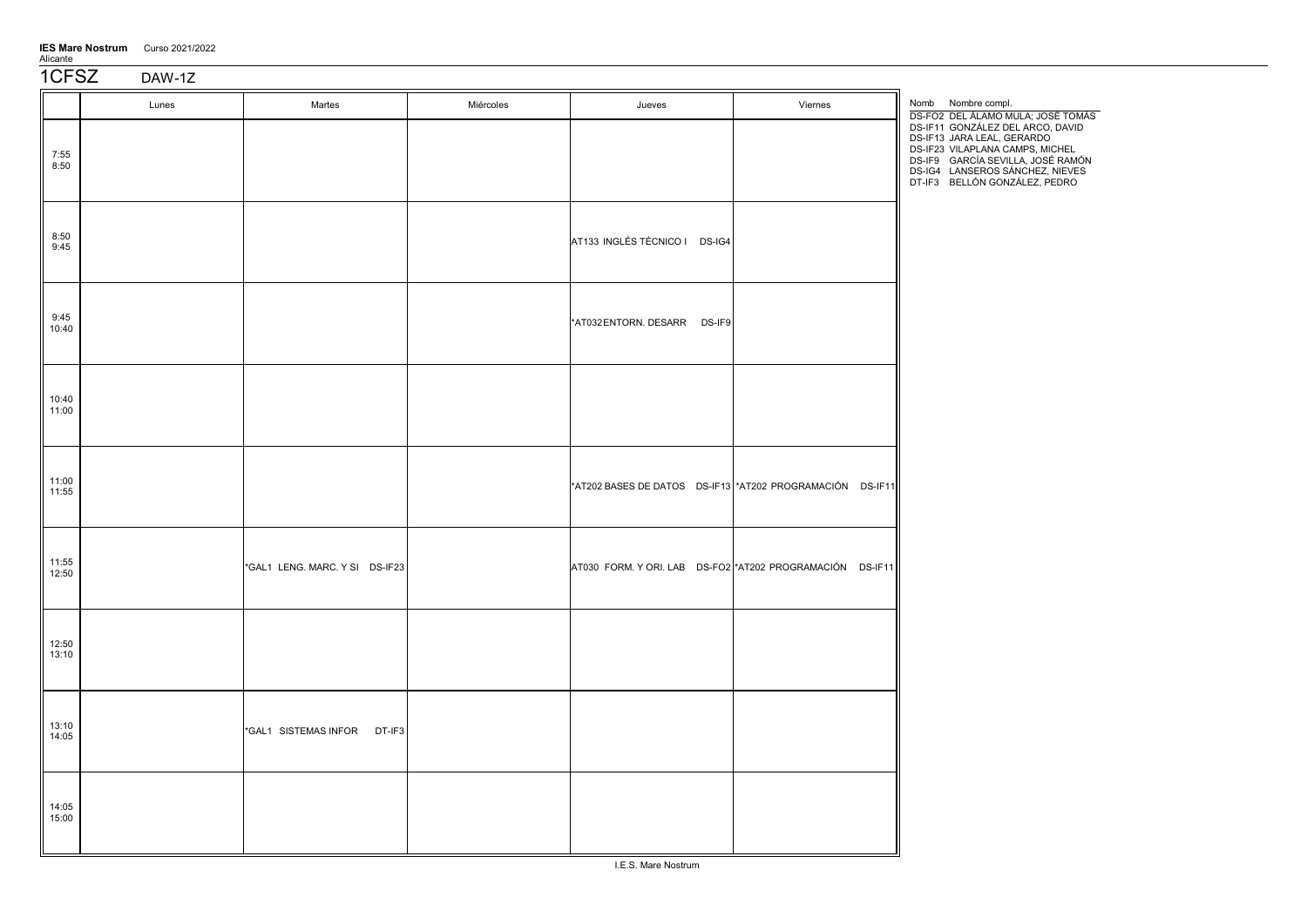| <b>IES Mare Nostrum</b> | Curso 2021/2022 |
|-------------------------|-----------------|
| Alicante                |                 |

1CFSZ DAW-1Z

|                | Lunes | Martes                         | Miércoles | Jueves                        | Viernes                                                   | Nomb Nombre compl.<br>DS-FO2 DEL ÁLAMO MULA; JOSÉ TOMÁS                                                                                                                                                    |
|----------------|-------|--------------------------------|-----------|-------------------------------|-----------------------------------------------------------|------------------------------------------------------------------------------------------------------------------------------------------------------------------------------------------------------------|
| 7:55<br>8:50   |       |                                |           |                               |                                                           | DS-IF11 GONZÁLEZ DEL ARCO, DAVID<br>DS-IF13 JARA LEAL, GERARDO<br>DS-IF23 VILAPLANA CAMPS, MICHEL<br>DS-IF9 GARCÍA SEVILLA, JOSÉ RAMÓN<br>DS-IG4 LANSEROS SÁNCHEZ, NIEVES<br>DT-IF3 BELLÓN GONZÁLEZ, PEDRO |
| 8:50<br>9:45   |       |                                |           | AT133 INGLÉS TÉCNICO I DS-IG4 |                                                           |                                                                                                                                                                                                            |
| 9:45<br>10:40  |       |                                |           | *AT032 ENTORN. DESARR DS-IF9  |                                                           |                                                                                                                                                                                                            |
| 10:40<br>11:00 |       |                                |           |                               |                                                           |                                                                                                                                                                                                            |
| 11:00<br>11:55 |       |                                |           |                               | *AT202 BASES DE DATOS DS-IF13 *AT202 PROGRAMACIÓN DS-IF11 |                                                                                                                                                                                                            |
| 11:55<br>12:50 |       | *GAL1 LENG. MARC. Y SI DS-IF23 |           |                               | AT030 FORM. Y ORI. LAB DS-FO2 *AT202 PROGRAMACIÓN DS-IF11 |                                                                                                                                                                                                            |
| 12:50<br>13:10 |       |                                |           |                               |                                                           |                                                                                                                                                                                                            |
| 13:10<br>14:05 |       | *GAL1 SISTEMAS INFOR DT-IF3    |           |                               |                                                           |                                                                                                                                                                                                            |
| 14:05<br>15:00 |       |                                |           |                               |                                                           |                                                                                                                                                                                                            |